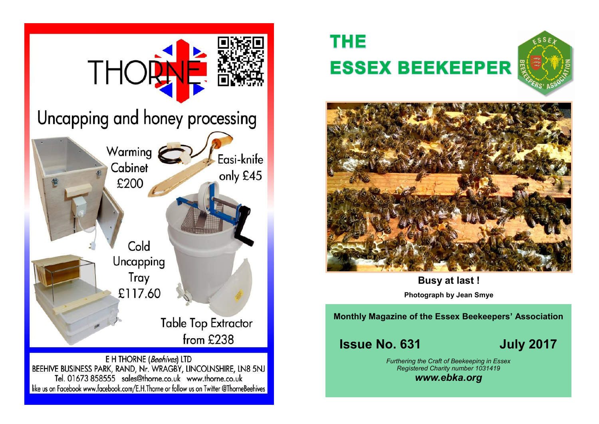

# **THE ESSEX BEEKEEPER**





**Busy at last !**

**Photograph by Jean Smye**

**Monthly Magazine of the Essex Beekeepers' Association**

**Issue No. 631 July 2017** 

*Furthering the Craft of Beekeeping in Essex Registered Charity number 1031419*

*www.ebka.org*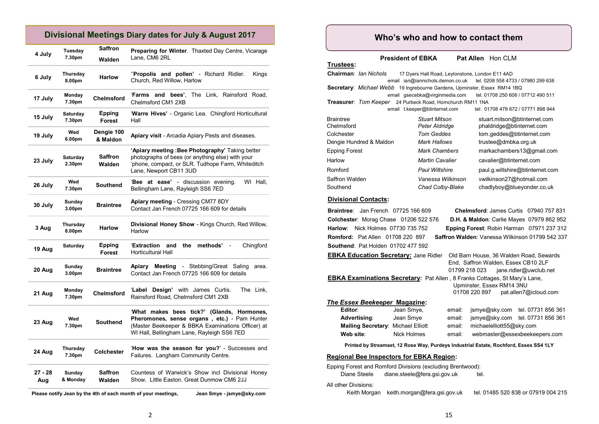## **Divisional Meetings Diary dates for July & August 2017**

| 4 July         | Tuesday<br>7.30pm            | <b>Saffron</b><br>Walden | <b>Preparing for Winter.</b> Thaxted Day Centre, Vicarage<br>Lane. CM6 2RL                                                                                                                    |  |  |  |
|----------------|------------------------------|--------------------------|-----------------------------------------------------------------------------------------------------------------------------------------------------------------------------------------------|--|--|--|
| 6 July         | Thursday<br>8.00pm           | <b>Harlow</b>            | "Propolis and pollen' - Richard Ridler.<br>Kings<br>Church, Red Willow, Harlow                                                                                                                |  |  |  |
| 17 July        | Monday<br>7.30pm             | <b>Chelmsford</b>        | 'Farms and bees',<br>The Link, Rainsford<br>Road,<br>Chelmsford CM1 2XB                                                                                                                       |  |  |  |
| 15 July        | Saturday<br>7.30pm           | Epping<br>Forest         | 'Warre Hives' - Organic Lea. Chingford Horticultural<br>Hall                                                                                                                                  |  |  |  |
| 19 July        | Wed<br>6.00pm                | Dengie 100<br>& Maldon   | Apiary visit - Arcadia Apiary Pests and diseases.                                                                                                                                             |  |  |  |
| 23 July        | Saturday<br>2.30pm           | Saffron<br>Walden        | 'Apiary meeting : Bee Photography' Taking better<br>photographs of bees (or anything else) with your<br>'phone, compact, or SLR. Tudhope Farm, Whiteditch<br>Lane, Newport CB11 3UD           |  |  |  |
| 26 July        | Wed<br>7.30pm                | Southend                 | 'Bee at ease' - discussion evening.<br>WI Hall,<br>Bellingham Lane, Rayleigh SS6 7ED                                                                                                          |  |  |  |
| 30 July        | Sunday<br>3.00 <sub>pm</sub> | <b>Braintree</b>         | Apiary meeting - Cressing CM77 8DY<br>Contact Jan French 07725 166 609 for details                                                                                                            |  |  |  |
|                |                              |                          |                                                                                                                                                                                               |  |  |  |
| 3 Aug          | Thursday<br>8.00pm           | <b>Harlow</b>            | Divisional Honey Show - Kings Church, Red Willow,<br>Harlow                                                                                                                                   |  |  |  |
| 19 Aug         | Saturday                     | Epping<br><b>Forest</b>  | 'Extraction<br>methods'<br>Chingford<br>and<br>the<br>$\frac{1}{2}$<br><b>Horticultural Hall</b>                                                                                              |  |  |  |
| 20 Aug         | Sunday<br>3.00pm             | <b>Braintree</b>         | <b>Meeting - Stebbing/Great Saling</b><br>Apiary<br>area.<br>Contact Jan French 07725 166 609 for details                                                                                     |  |  |  |
| 21 Aug         | Monday<br>7.30pm             | <b>Chelmsford</b>        | 'Label Design' with James Curtis.<br>The Link.<br>Rainsford Road, Chelmsford CM1 2XB                                                                                                          |  |  |  |
| 23 Aug         | Wed<br>7.30pm                | Southend                 | 'What makes bees tick?' (Glands, Hormones,<br>Pheromones, sense organs, etc.) - Pam Hunter<br>(Master Beekeeper & BBKA Examinations Officer) at<br>WI Hall, Bellingham Lane, Rayleigh SS6 7ED |  |  |  |
| 24 Aug         | Thursday<br>7.30pm           | <b>Colchester</b>        | 'How was the season for you?' - Successes and<br>Failures. Langham Community Centre.                                                                                                          |  |  |  |
| 27 - 28<br>Aug | Sunday<br>& Monday           | <b>Saffron</b><br>Walden | Countess of Warwick's Show incl Divisional Honey<br>Show. Little Easton. Great Dunmow CM6 2JJ                                                                                                 |  |  |  |

**Please notify Jean by the 4th of each month of your meetings, Jean Smye - jsmye@sky.com**

## **Who's who and how to contact them**

**President of EBKA** Pat Allen Hon CLM

| Trustees:                                                                        |                                                 |                                                                     |  |  |  |  |  |  |  |
|----------------------------------------------------------------------------------|-------------------------------------------------|---------------------------------------------------------------------|--|--|--|--|--|--|--|
| <b>Chairman: Ian Nichols</b>                                                     | 17 Dyers Hall Road, Leytonstone, London E11 4AD |                                                                     |  |  |  |  |  |  |  |
|                                                                                  |                                                 | email ian@iannichols.demon.co.uk tel. 0208 558 4733 / 07980 299 638 |  |  |  |  |  |  |  |
| <b>Secretary:</b> Michael Webb 19 Ingrebourne Gardens, Upminster, Essex RM14 1BQ |                                                 |                                                                     |  |  |  |  |  |  |  |
|                                                                                  |                                                 | email gsecebka@virginmedia.com tel. 01708 250 606 / 07712 490 511   |  |  |  |  |  |  |  |
| <b>Treasurer: Tom Keeper</b> 24 Purbeck Road, Hornchurch RM11 1NA                |                                                 |                                                                     |  |  |  |  |  |  |  |
|                                                                                  | email t.keeper@btinternet.com                   | tel: 01708 478 672 / 07771 898 944                                  |  |  |  |  |  |  |  |
| <b>Braintree</b>                                                                 | <b>Stuart Mitson</b>                            | stuart.mitson@btinternet.com                                        |  |  |  |  |  |  |  |
| Chelmsford                                                                       | Peter Aldridge                                  | phaldridge@btinternet.com                                           |  |  |  |  |  |  |  |
| Colchester                                                                       | Tom Geddes                                      | tom.geddes@btinternet.com                                           |  |  |  |  |  |  |  |
| Dengie Hundred & Maldon                                                          | Mark Hallows                                    | trustee@dmbka.org.uk                                                |  |  |  |  |  |  |  |
| <b>Epping Forest</b>                                                             | <b>Mark Chambers</b>                            | markachambers13@gmail.com                                           |  |  |  |  |  |  |  |
| Harlow                                                                           | <b>Martin Cavalier</b>                          | cavalier@btinternet.com                                             |  |  |  |  |  |  |  |
| Romford                                                                          | <b>Paul Wiltshire</b>                           | paul.g.wiltshire@btinternet.com                                     |  |  |  |  |  |  |  |
| Saffron Walden                                                                   | Vanessa Wilkinson                               | vwilkinson27@hotmail.com                                            |  |  |  |  |  |  |  |
| Southend                                                                         | Chad Colby-Blake                                | chadlyboy@blueyonder.co.uk                                          |  |  |  |  |  |  |  |
|                                                                                  |                                                 |                                                                     |  |  |  |  |  |  |  |

#### **Divisional Contacts:**

|                                                                                                                                                          | Braintree: Jan French 07725 166 609 |        | Chelmsford: James Curtis 07940 757 831                                                                                    |                                                      |  |  |  |  |  |  |
|----------------------------------------------------------------------------------------------------------------------------------------------------------|-------------------------------------|--------|---------------------------------------------------------------------------------------------------------------------------|------------------------------------------------------|--|--|--|--|--|--|
| Colchester: Morag Chase 01206 522 576                                                                                                                    |                                     |        |                                                                                                                           | <b>D.H. &amp; Maldon: Carlie Mayes 07979 862 952</b> |  |  |  |  |  |  |
| <b>Harlow:</b> Nick Holmes 07730 735 752                                                                                                                 |                                     |        |                                                                                                                           | Epping Forest: Robin Harman 07971 237 312            |  |  |  |  |  |  |
| Saffron Walden: Vanessa Wilkinson 01799 542 337<br><b>Romford:</b> Pat Allen 01708 220 897                                                               |                                     |        |                                                                                                                           |                                                      |  |  |  |  |  |  |
| <b>Southend: Pat Holden 01702 477 592</b>                                                                                                                |                                     |        |                                                                                                                           |                                                      |  |  |  |  |  |  |
| <b>EBKA Education Secretary:</b> Jane Ridler                                                                                                             |                                     |        | Old Barn House, 36 Walden Road, Sewards<br>End, Saffron Walden, Essex CB10 2LF<br>01799 218 023<br>jane.ridler@uwclub.net |                                                      |  |  |  |  |  |  |
| <b>EBKA Examinations Secretary:</b> Pat Allen, 8 Franks Cottages, St Mary's Lane,<br>Upminster, Essex RM14 3NU<br>01708 220 897<br>pat.allen7@icloud.com |                                     |        |                                                                                                                           |                                                      |  |  |  |  |  |  |
| The Essex Beekeeper Magazine:                                                                                                                            |                                     |        |                                                                                                                           |                                                      |  |  |  |  |  |  |
| Editor:                                                                                                                                                  | Jean Smye,                          | email: |                                                                                                                           | jsmye@sky.com tel. 07731 856 361                     |  |  |  |  |  |  |
| Advertising:                                                                                                                                             | Jean Smye                           | email: |                                                                                                                           | jsmye@sky.com tel. 07731 856 361                     |  |  |  |  |  |  |
| Mailing Secretary: Michael Elliott                                                                                                                       |                                     | email: | michaelelliott55@sky.com                                                                                                  |                                                      |  |  |  |  |  |  |
| Web site:                                                                                                                                                | Nick Holmes                         | email: |                                                                                                                           | webmaster@essexbeekeepers.com                        |  |  |  |  |  |  |
| Printed by Streamset, 12 Rose Way, Purdeys Industrial Estate, Rochford, Essex SS4 1LY                                                                    |                                     |        |                                                                                                                           |                                                      |  |  |  |  |  |  |
| <b>Regional Bee Inspectors for EBKA Region:</b>                                                                                                          |                                     |        |                                                                                                                           |                                                      |  |  |  |  |  |  |
| Epping Forest and Romford Divisions (excluding Brentwood):<br>Diane Steele<br>diane.steele@fera.gsi.gov.uk<br>tel.                                       |                                     |        |                                                                                                                           |                                                      |  |  |  |  |  |  |
| All other Divisions:<br>Keith Morgan                                                                                                                     | keith.morgan@fera.gsi.gov.uk        |        |                                                                                                                           | tel. 01485 520 838 or 07919 004 215                  |  |  |  |  |  |  |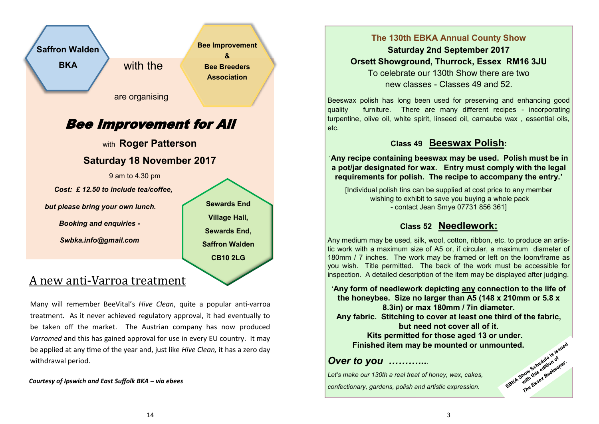

Many will remember BeeVital's *Hive Clean*, quite a popular anti-varroa treatment. As it never achieved regulatory approval, it had eventually to be taken off the market. The Austrian company has now produced *Varromed* and this has gained approval for use in every EU country. It may be applied at any time of the year and, just like *Hive Clean,* it has a zero day withdrawal period.

*Courtesy of Ipswich and East Suffolk BKA – via ebees*

## **The 130th EBKA Annual County Show**

**Saturday 2nd September 2017 Orsett Showground, Thurrock, Essex RM16 3JU**

To celebrate our 130th Show there are two new classes - Classes 49 and 52.

Beeswax polish has long been used for preserving and enhancing good quality furniture. There are many different recipes - incorporating turpentine, olive oil, white spirit, linseed oil, carnauba wax , essential oils, etc.

## **Class 49 Beeswax Polish:**

'**Any recipe containing beeswax may be used. Polish must be in a pot/jar designated for wax. Entry must comply with the legal requirements for polish. The recipe to accompany the entry.'**

[Individual polish tins can be supplied at cost price to any member wishing to exhibit to save you buying a whole pack - contact Jean Smye 07731 856 361]

## **Class 52 Needlework:**

Any medium may be used, silk, wool, cotton, ribbon, etc. to produce an artistic work with a maximum size of A5 or, if circular, a maximum diameter of 180mm / 7 inches. The work may be framed or left on the loom/frame as you wish. Title permitted. The back of the work must be accessible for inspection. A detailed description of the item may be displayed after judging.

'**Any form of needlework depicting any connection to the life of the honeybee. Size no larger than A5 (148 x 210mm or 5.8 x 8.3in) or max 180mm / 7in diameter. Any fabric. Stitching to cover at least one third of the fabric, but need not cover all of it.** 

**Kits permitted for those aged 13 or under. Finished item may be mounted or unmounted.**

## *Over to you ………...*.

*Let's make our 130th a real treat of honey, wax, cakes, confectionary, gardens, polish and artistic expression.*

Show Schedule of degrees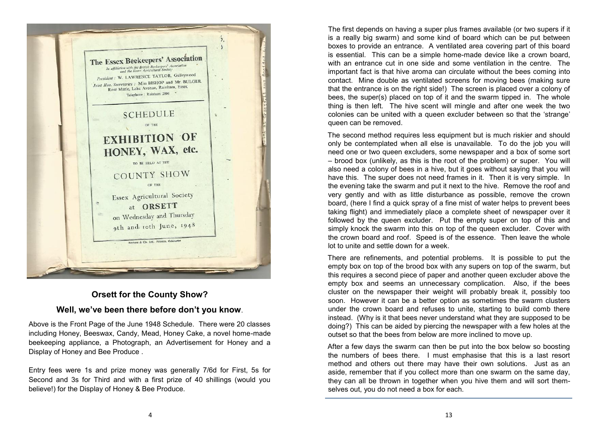

## **Orsett for the County Show?**

### **Well, we've been there before don't you know**.

Above is the Front Page of the June 1948 Schedule. There were 20 classes including Honey, Beeswax, Candy, Mead, Honey Cake, a novel home-made beekeeping appliance, a Photograph, an Advertisement for Honey and a Display of Honey and Bee Produce .

Entry fees were 1s and prize money was generally 7/6d for First, 5s for Second and 3s for Third and with a first prize of 40 shillings (would you believe!) for the Display of Honey & Bee Produce.

The first depends on having a super plus frames available (or two supers if it is a really big swarm) and some kind of board which can be put between boxes to provide an entrance. A ventilated area covering part of this board is essential. This can be a simple home-made device like a crown board, with an entrance cut in one side and some ventilation in the centre. The important fact is that hive aroma can circulate without the bees coming into contact. Mine double as ventilated screens for moving bees (making sure that the entrance is on the right side!) The screen is placed over a colony of bees, the super(s) placed on top of it and the swarm tipped in. The whole thing is then left. The hive scent will mingle and after one week the two colonies can be united with a queen excluder between so that the 'strange' queen can be removed.

The second method requires less equipment but is much riskier and should only be contemplated when all else is unavailable. To do the job you will need one or two queen excluders, some newspaper and a box of some sort – brood box (unlikely, as this is the root of the problem) or super. You will also need a colony of bees in a hive, but it goes without saying that you will have this. The super does not need frames in it. Then it is very simple. In the evening take the swarm and put it next to the hive. Remove the roof and very gently and with as little disturbance as possible, remove the crown board, (here I find a quick spray of a fine mist of water helps to prevent bees taking flight) and immediately place a complete sheet of newspaper over it followed by the queen excluder. Put the empty super on top of this and simply knock the swarm into this on top of the queen excluder. Cover with the crown board and roof. Speed is of the essence. Then leave the whole lot to unite and settle down for a week.

There are refinements, and potential problems. It is possible to put the empty box on top of the brood box with any supers on top of the swarm, but this requires a second piece of paper and another queen excluder above the empty box and seems an unnecessary complication. Also, if the bees cluster on the newspaper their weight will probably break it, possibly too soon. However it can be a better option as sometimes the swarm clusters under the crown board and refuses to unite, starting to build comb there instead. (Why is it that bees never understand what they are supposed to be doing?) This can be aided by piercing the newspaper with a few holes at the outset so that the bees from below are more inclined to move up.

After a few days the swarm can then be put into the box below so boosting the numbers of bees there. I must emphasise that this is a last resort method and others out there may have their own solutions. Just as an aside, remember that if you collect more than one swarm on the same day, they can all be thrown in together when you hive them and will sort themselves out, you do not need a box for each.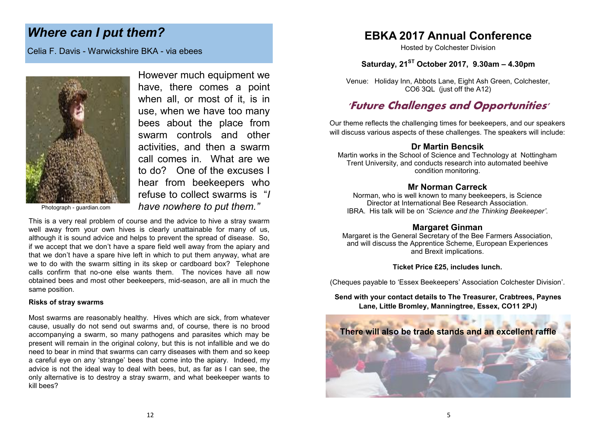## *Where can I put them?*

Celia F. Davis - Warwickshire BKA - via ebees



However much equipment we have, there comes a point when all, or most of it, is in use, when we have too many bees about the place from swarm controls and other activities, and then a swarm call comes in. What are we to do? One of the excuses I hear from beekeepers who refuse to collect swarms is "*I have nowhere to put them."* 

This is a very real problem of course and the advice to hive a stray swarm well away from your own hives is clearly unattainable for many of us, although it is sound advice and helps to prevent the spread of disease. So, if we accept that we don't have a spare field well away from the apiary and that we don't have a spare hive left in which to put them anyway, what are we to do with the swarm sitting in its skep or cardboard box? Telephone calls confirm that no-one else wants them. The novices have all now obtained bees and most other beekeepers, mid-season, are all in much the same position.

#### **Risks of stray swarms**

Most swarms are reasonably healthy. Hives which are sick, from whatever cause, usually do not send out swarms and, of course, there is no brood accompanying a swarm, so many pathogens and parasites which may be present will remain in the original colony, but this is not infallible and we do need to bear in mind that swarms can carry diseases with them and so keep a careful eye on any 'strange' bees that come into the apiary. Indeed, my advice is not the ideal way to deal with bees, but, as far as I can see, the only alternative is to destroy a stray swarm, and what beekeeper wants to kill bees?

## **EBKA 2017 Annual Conference**

Hosted by Colchester Division

## **Saturday, 21ST October 2017, 9.30am – 4.30pm**

Venue: Holiday Inn, Abbots Lane, Eight Ash Green, Colchester, CO6 3QL (just off the A12)

## **'Future Challenges and Opportunities'**

Our theme reflects the challenging times for beekeepers, and our speakers will discuss various aspects of these challenges. The speakers will include:

## **Dr Martin Bencsik**

Martin works in the School of Science and Technology at Nottingham Trent University, and conducts research into automated beehive condition monitoring.

#### **Mr Norman Carreck**

Norman, who is well known to many beekeepers, is Science Director at International Bee Research Association. IBRA. His talk will be on '*Science and the Thinking Beekeeper'*.

### **Margaret Ginman**

Margaret is the General Secretary of the Bee Farmers Association, and will discuss the Apprentice Scheme, European Experiences and Brexit implications.

**Ticket Price £25, includes lunch.**

(Cheques payable to 'Essex Beekeepers' Association Colchester Division'.

**Send with your contact details to The Treasurer, Crabtrees, Paynes Lane, Little Bromley, Manningtree, Essex, CO11 2PJ)**

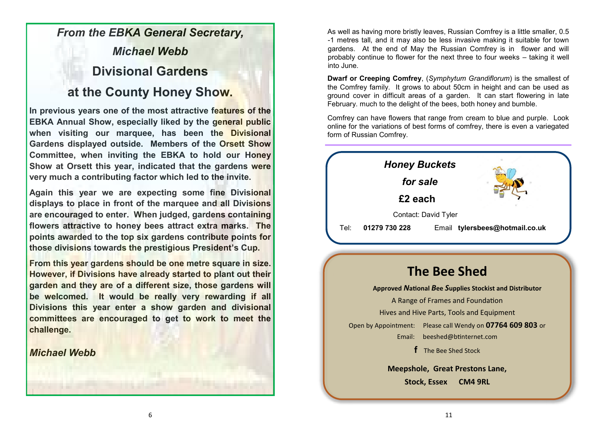## *From the EBKA General Secretary, Michael Webb* **Divisional Gardens**

## **at the County Honey Show.**

**In previous years one of the most attractive features of the EBKA Annual Show, especially liked by the general public when visiting our marquee, has been the Divisional Gardens displayed outside. Members of the Orsett Show Committee, when inviting the EBKA to hold our Honey Show at Orsett this year, indicated that the gardens were very much a contributing factor which led to the invite.**

**Again this year we are expecting some fine Divisional displays to place in front of the marquee and all Divisions are encouraged to enter. When judged, gardens containing flowers attractive to honey bees attract extra marks. The points awarded to the top six gardens contribute points for those divisions towards the prestigious President's Cup.**

**From this year gardens should be one metre square in size. However, if Divisions have already started to plant out their garden and they are of a different size, those gardens will be welcomed. It would be really very rewarding if all Divisions this year enter a show garden and divisional committees are encouraged to get to work to meet the challenge.**

## *Michael Webb*

As well as having more bristly leaves, Russian Comfrey is a little smaller, 0.5 -1 metres tall, and it may also be less invasive making it suitable for town gardens. At the end of May the Russian Comfrey is in flower and will probably continue to flower for the next three to four weeks – taking it well into June.

**Dwarf or Creeping Comfrey**, (*Symphytum Grandiflorum*) is the smallest of the Comfrey family. It grows to about 50cm in height and can be used as ground cover in difficult areas of a garden. It can start flowering in late February. much to the delight of the bees, both honey and bumble.

Comfrey can have flowers that range from cream to blue and purple. Look online for the variations of best forms of comfrey, there is even a variegated form of Russian Comfrey.



## **The Bee Shed**

**Approved** *N***ational** *B***ee** *S***upplies Stockist and Distributor**

A Range of Frames and Foundation

Hives and Hive Parts, Tools and Equipment

Open by Appointment: Please call Wendy on **07764 609 803** or Email: [beeshed@btinternet.com](mailto:beeshed@btinternet.com) 

**f** The Bee Shed Stock

**Meepshole, Great Prestons Lane, Stock, Essex CM4 9RL**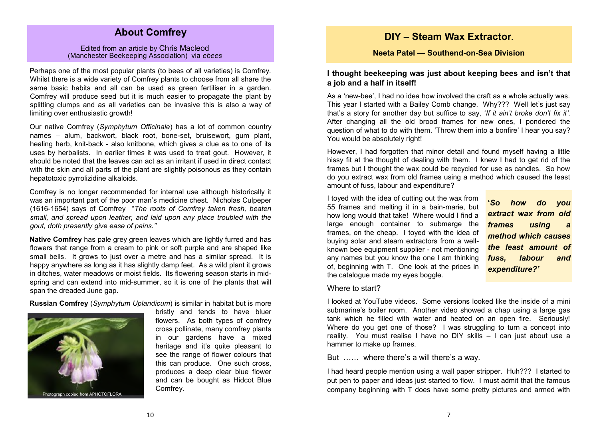## **About Comfrey**

#### Edited from an article by Chris Macleod (Manchester Beekeeping Association) via *ebees*

Perhaps one of the most popular plants (to bees of all varieties) is Comfrey. Whilst there is a wide variety of Comfrey plants to choose from all share the same basic habits and all can be used as green fertiliser in a garden. Comfrey will produce seed but it is much easier to propagate the plant by splitting clumps and as all varieties can be invasive this is also a way of limiting over enthusiastic growth!

Our native Comfrey (*Symphytum Officinale*) has a lot of common country names – alum, backwort, black root, bone-set, bruisewort, gum plant, healing herb, knit-back - also knitbone, which gives a clue as to one of its uses by herbalists. In earlier times it was used to treat gout. However, it should be noted that the leaves can act as an irritant if used in direct contact with the skin and all parts of the plant are slightly poisonous as they contain [hepatotoxic](https://en.wikipedia.org/wiki/Hepatotoxicity) [pyrrolizidine alkaloids.](https://en.wikipedia.org/wiki/Pyrrolizidine_alkaloid)

Comfrey is no longer recommended for internal use although historically it was an important part of the poor man's medicine chest. Nicholas Culpeper (1616-1654) says of Comfrey "*The roots of Comfrey taken fresh, beaten small, and spread upon leather, and laid upon any place troubled with the gout, doth presently give ease of pains."*

**Native Comfrey** has pale grey green leaves which are lightly furred and has flowers that range from a cream to pink or soft purple and are shaped like small bells. It grows to just over a metre and has a similar spread. It is happy anywhere as long as it has slightly damp feet. As a wild plant it grows in ditches, water meadows or moist fields. Its flowering season starts in midspring and can extend into mid-summer, so it is one of the plants that will span the dreaded June gap.

**Russian Comfrey** (*Symphytum Uplandicum*) is similar in habitat but is more



bristly and tends to have bluer flowers. As both types of comfrey cross pollinate, many comfrey plants in our gardens have a mixed heritage and it's quite pleasant to see the range of flower colours that this can produce. One such cross, produces a deep clear blue flower and can be bought as Hidcot Blue Comfrey.

## **DIY – Steam Wax Extractor.**

#### **Neeta Patel — Southend-on-Sea Division**

## **I thought beekeeping was just about keeping bees and isn't that a job and a half in itself!**

As a 'new-bee', I had no idea how involved the craft as a whole actually was. This year I started with a Bailey Comb change. Why??? Well let's just say that's a story for another day but suffice to say, '*If it ain't broke don't fix it'*. After changing all the old brood frames for new ones, I pondered the question of what to do with them. 'Throw them into a bonfire' I hear you say? You would be absolutely right!

However, I had forgotten that minor detail and found myself having a little hissy fit at the thought of dealing with them. I knew I had to get rid of the frames but I thought the wax could be recycled for use as candles. So how do you extract wax from old frames using a method which caused the least amount of fuss, labour and expenditure?

I toyed with the idea of cutting out the wax from 55 frames and melting it in a bain-marie, but how long would that take! Where would I find a large enough container to submerge the frames, on the cheap. I toyed with the idea of buying solar and steam extractors from a wellknown bee equipment supplier - not mentioning any names but you know the one I am thinking of, beginning with T. One look at the prices in the catalogue made my eyes boggle.

**'***So how do you extract wax from old frames using a method which causes the least amount of fuss, labour and expenditure?'*

#### Where to start?

I looked at YouTube videos. Some versions looked like the inside of a mini submarine's boiler room. Another video showed a chap using a large gas tank which he filled with water and heated on an open fire. Seriously! Where do you get one of those? I was struggling to turn a concept into reality. You must realise I have no DIY skills – I can just about use a hammer to make up frames.

But …… where there's a will there's a way.

I had heard people mention using a wall paper stripper. Huh??? I started to put pen to paper and ideas just started to flow. I must admit that the famous company beginning with T does have some pretty pictures and armed with